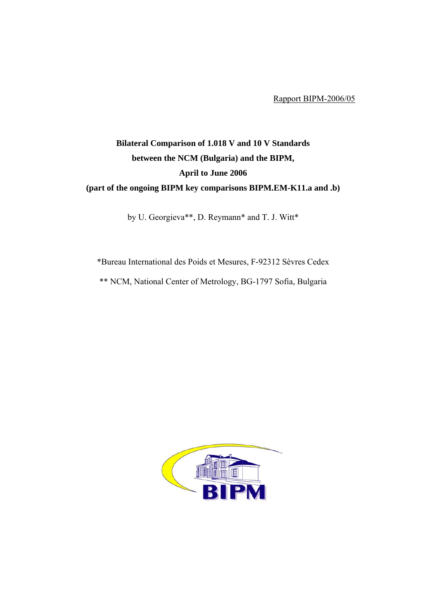Rapport BIPM-2006/05

# **Bilateral Comparison of 1.018 V and 10 V Standards between the NCM (Bulgaria) and the BIPM, April to June 2006 (part of the ongoing BIPM key comparisons BIPM.EM-K11.a and .b)**

by U. Georgieva\*\*, D. Reymann\* and T. J. Witt\*

\*Bureau International des Poids et Mesures, F-92312 Sèvres Cedex \*\* NCM, National Center of Metrology, BG-1797 Sofia, Bulgaria

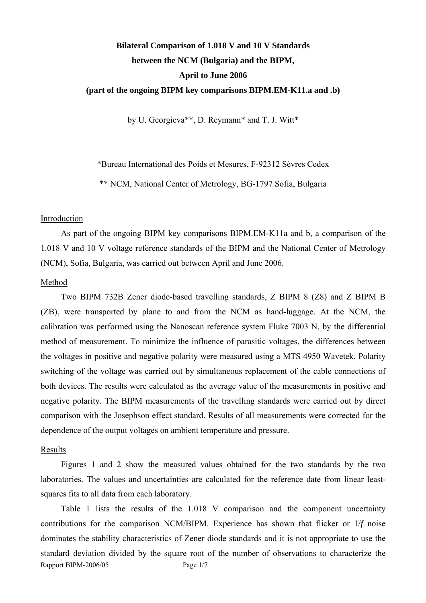# **Bilateral Comparison of 1.018 V and 10 V Standards between the NCM (Bulgaria) and the BIPM, April to June 2006 (part of the ongoing BIPM key comparisons BIPM.EM-K11.a and .b)**

by U. Georgieva\*\*, D. Reymann\* and T. J. Witt\*

\*Bureau International des Poids et Mesures, F-92312 Sèvres Cedex

\*\* NCM, National Center of Metrology, BG-1797 Sofia, Bulgaria

### Introduction

As part of the ongoing BIPM key comparisons BIPM.EM-K11a and b, a comparison of the 1.018 V and 10 V voltage reference standards of the BIPM and the National Center of Metrology (NCM), Sofia, Bulgaria, was carried out between April and June 2006.

#### Method

Two BIPM 732B Zener diode-based travelling standards, Z BIPM 8 (Z8) and Z BIPM B (ZB), were transported by plane to and from the NCM as hand-luggage. At the NCM, the calibration was performed using the Nanoscan reference system Fluke 7003 N, by the differential method of measurement. To minimize the influence of parasitic voltages, the differences between the voltages in positive and negative polarity were measured using a MTS 4950 Wavetek. Polarity switching of the voltage was carried out by simultaneous replacement of the cable connections of both devices. The results were calculated as the average value of the measurements in positive and negative polarity. The BIPM measurements of the travelling standards were carried out by direct comparison with the Josephson effect standard. Results of all measurements were corrected for the dependence of the output voltages on ambient temperature and pressure.

### Results

Figures 1 and 2 show the measured values obtained for the two standards by the two laboratories. The values and uncertainties are calculated for the reference date from linear leastsquares fits to all data from each laboratory.

Rapport BIPM-2006/05 Page 1/7 Table 1 lists the results of the 1.018 V comparison and the component uncertainty contributions for the comparison NCM/BIPM. Experience has shown that flicker or 1/*f* noise dominates the stability characteristics of Zener diode standards and it is not appropriate to use the standard deviation divided by the square root of the number of observations to characterize the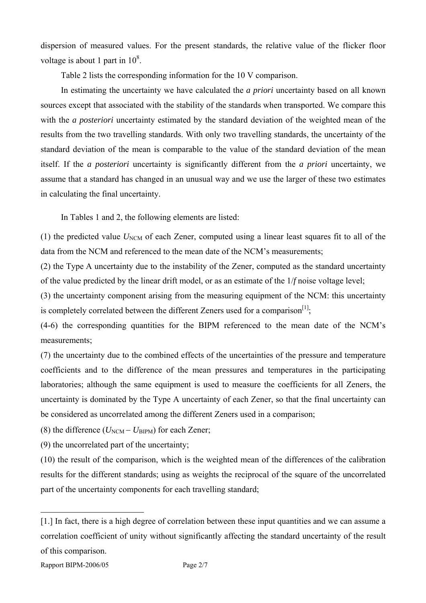dispersion of measured values. For the present standards, the relative value of the flicker floor voltage is about 1 part in  $10^8$ .

Table 2 lists the corresponding information for the 10 V comparison.

In estimating the uncertainty we have calculated the *a priori* uncertainty based on all known sources except that associated with the stability of the standards when transported. We compare this with the *a posteriori* uncertainty estimated by the standard deviation of the weighted mean of the results from the two travelling standards. With only two travelling standards, the uncertainty of the standard deviation of the mean is comparable to the value of the standard deviation of the mean itself. If the *a posteriori* uncertainty is significantly different from the *a priori* uncertainty, we assume that a standard has changed in an unusual way and we use the larger of these two estimates in calculating the final uncertainty.

In Tables 1 and 2, the following elements are listed:

(1) the predicted value  $U<sub>NCM</sub>$  of each Zener, computed using a linear least squares fit to all of the data from the NCM and referenced to the mean date of the NCM's measurements;

(2) the Type A uncertainty due to the instability of the Zener, computed as the standard uncertainty of the value predicted by the linear drift model, or as an estimate of the 1/*f* noise voltage level;

(3) the uncertainty component arising from the measuring equipment of the NCM: this uncertainty is completely correlated between the different Zeners used for a comparison<sup>[[1\]](#page-2-0)</sup>;

(4-6) the corresponding quantities for the BIPM referenced to the mean date of the NCM's measurements;

(7) the uncertainty due to the combined effects of the uncertainties of the pressure and temperature coefficients and to the difference of the mean pressures and temperatures in the participating laboratories; although the same equipment is used to measure the coefficients for all Zeners, the uncertainty is dominated by the Type A uncertainty of each Zener, so that the final uncertainty can be considered as uncorrelated among the different Zeners used in a comparison;

(8) the difference  $(U_{NCM} - U_{BIPM})$  for each Zener;

(9) the uncorrelated part of the uncertainty;

(10) the result of the comparison, which is the weighted mean of the differences of the calibration results for the different standards; using as weights the reciprocal of the square of the uncorrelated part of the uncertainty components for each travelling standard;

 $\overline{a}$ 

<span id="page-2-0"></span><sup>[1.]</sup> In fact, there is a high degree of correlation between these input quantities and we can assume a correlation coefficient of unity without significantly affecting the standard uncertainty of the result of this comparison.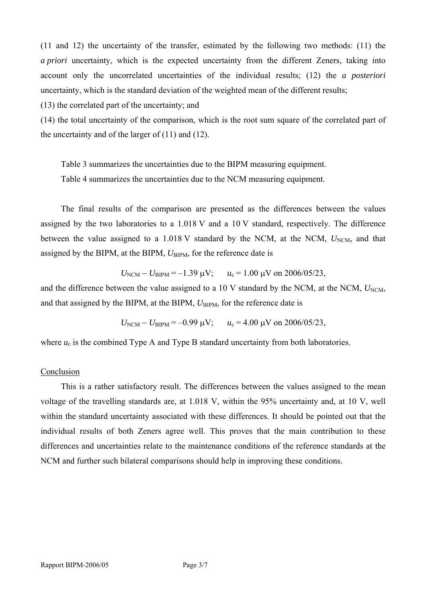(11 and 12) the uncertainty of the transfer, estimated by the following two methods: (11) the *a priori* uncertainty, which is the expected uncertainty from the different Zeners, taking into account only the uncorrelated uncertainties of the individual results; (12) the *a posteriori* uncertainty, which is the standard deviation of the weighted mean of the different results;

(13) the correlated part of the uncertainty; and

(14) the total uncertainty of the comparison, which is the root sum square of the correlated part of the uncertainty and of the larger of (11) and (12).

Table 3 summarizes the uncertainties due to the BIPM measuring equipment. Table 4 summarizes the uncertainties due to the NCM measuring equipment.

The final results of the comparison are presented as the differences between the values assigned by the two laboratories to a 1.018 V and a 10 V standard, respectively. The difference between the value assigned to a 1.018 V standard by the NCM, at the NCM,  $U_{NCM}$ , and that assigned by the BIPM, at the BIPM,  $U_{\text{BIPM}}$ , for the reference date is

$$
U_{\text{NCM}} - U_{\text{BIPM}} = -1.39 \text{ }\mu\text{V};
$$
  $u_c = 1.00 \text{ }\mu\text{V}$  on 2006/05/23,

and the difference between the value assigned to a 10 V standard by the NCM, at the NCM,  $U_{\text{NCM}}$ , and that assigned by the BIPM, at the BIPM,  $U_{\text{BIPM}}$ , for the reference date is

 $U_{\text{NCM}} - U_{\text{BIPM}} = -0.99 \text{ }\mu\text{V}; \qquad u_c = 4.00 \text{ }\mu\text{V} \text{ on } 2006/05/23,$ 

where  $u_c$  is the combined Type A and Type B standard uncertainty from both laboratories.

## Conclusion

This is a rather satisfactory result. The differences between the values assigned to the mean voltage of the travelling standards are, at 1.018 V, within the 95% uncertainty and, at 10 V, well within the standard uncertainty associated with these differences. It should be pointed out that the individual results of both Zeners agree well. This proves that the main contribution to these differences and uncertainties relate to the maintenance conditions of the reference standards at the NCM and further such bilateral comparisons should help in improving these conditions.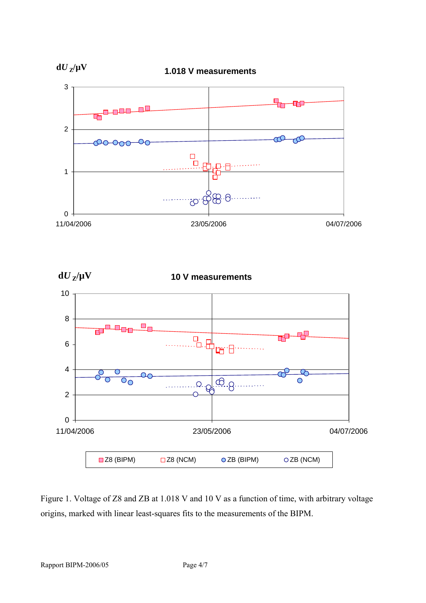

Figure 1. Voltage of Z8 and ZB at 1.018 V and 10 V as a function of time, with arbitrary voltage origins, marked with linear least-squares fits to the measurements of the BIPM.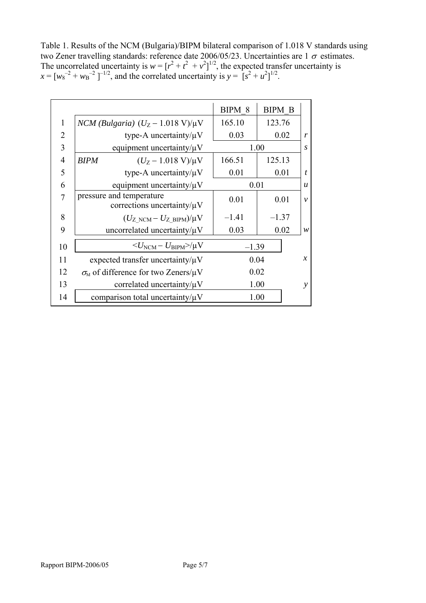Table 1. Results of the NCM (Bulgaria)/BIPM bilateral comparison of 1.018 V standards using two Zener travelling standards: reference date 2006/05/23. Uncertainties are  $1\sigma$  estimates. The uncorrelated uncertainty is  $w = [r^2 + t^2 + v^2]^{1/2}$ , the expected transfer uncertainty is  $x = [w_8^{-2} + w_8^{-2}]^{-1/2}$ , and the correlated uncertainty is  $y = [s^2 + u^2]^{1/2}$ .

|                |                                |                                                         | BIPM 8  | <b>BIPM B</b> |                  |
|----------------|--------------------------------|---------------------------------------------------------|---------|---------------|------------------|
| 1              |                                | NCM (Bulgaria) $(U_Z - 1.018 \text{ V})/\mu\text{V}$    | 165.10  | 123.76        |                  |
| 2              |                                | type-A uncertainty/ $\mu$ V                             | 0.03    | 0.02          | r                |
| 3              | equipment uncertainty/ $\mu$ V |                                                         | 1.00    |               | S                |
| $\overline{4}$ | <b>BIPM</b>                    | $(U_Z - 1.018 \text{ V})/\mu\text{V}$                   | 166.51  | 125.13        |                  |
| 5              |                                | type-A uncertainty/ $\mu$ V                             | 0.01    | 0.01          | t                |
| 6              |                                | equipment uncertainty/ $\mu$ V                          | 0.01    |               | $\boldsymbol{u}$ |
| 7              | pressure and temperature       | corrections uncertainty/ $\mu$ V                        | 0.01    | 0.01          | $\mathcal{V}$    |
| 8              |                                | $(U_{Z\text{ NCM}}-U_{Z\text{ BIPM}})/\mu V$            | $-1.41$ | $-1.37$       |                  |
| 9              |                                | uncorrelated uncertainty/ $\mu$ V                       | 0.03    | 0.02          | w                |
| 10             |                                | $\langle U_{\text{NCM}}-U_{\text{BIPM}}\rangle / \mu V$ | $-1.39$ |               |                  |
| 11             |                                | expected transfer uncertainty/ $\mu$ V                  | 0.04    |               | $\mathcal{X}$    |
| 12             |                                | $\sigma_{\rm M}$ of difference for two Zeners/ $\mu$ V  | 0.02    |               |                  |
| 13             |                                | correlated uncertainty/ $\mu$ V                         | 1.00    |               | ν                |
| 14             |                                | comparison total uncertainty/ $\mu$ V                   | 1.00    |               |                  |
|                |                                |                                                         |         |               |                  |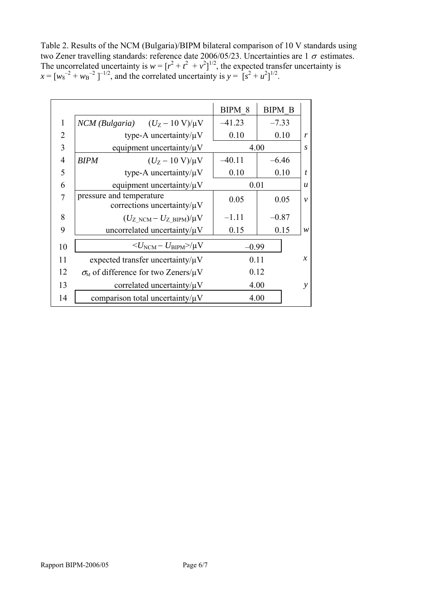Table 2. Results of the NCM (Bulgaria)/BIPM bilateral comparison of 10 V standards using two Zener travelling standards: reference date 2006/05/23. Uncertainties are  $1\sigma$  estimates. The uncorrelated uncertainty is  $w = [r^2 + t^2 + v^2]^{1/2}$ , the expected transfer uncertainty is  $x = [w_8^{-2} + w_8^{-2}]^{-1/2}$ , and the correlated uncertainty is  $y = [s^2 + u^2]^{1/2}$ .

|                |                                                              | BIPM 8   | <b>BIPM B</b> |                  |
|----------------|--------------------------------------------------------------|----------|---------------|------------------|
| $\mathbf{1}$   | $NCM$ (Bulgaria) $(U_Z - 10 \text{ V})/\mu\text{V}$          | $-41.23$ | $-7.33$       |                  |
| $\overline{2}$ | type-A uncertainty/ $\mu$ V                                  | 0.10     | 0.10          | r                |
| 3              | equipment uncertainty/ $\mu$ V                               | 4.00     |               | S                |
| $\overline{4}$ | $(U_Z - 10 \text{ V})/\mu\text{V}$<br><b>BIPM</b>            | $-40.11$ | $-6.46$       |                  |
| 5              | type-A uncertainty/ $\mu$ V                                  | 0.10     | 0.10          | t                |
| 6              | equipment uncertainty/ $\mu$ V                               | 0.01     |               | $\boldsymbol{u}$ |
| 7              | pressure and temperature<br>corrections uncertainty/ $\mu$ V | 0.05     | 0.05          | $\mathcal{V}$    |
| 8              | $(U_{Z\text{ NCM}}-U_{Z\text{ BIPM}})/\mu V$                 | $-1.11$  | $-0.87$       |                  |
| 9              | uncorrelated uncertainty/ $\mu$ V                            | 0.15     | 0.15          | W                |
| 10             | $<$ $U_{\rm NCM}$ – $U_{\rm BIPM}$ $>$ / $\mu\rm{V}$         | $-0.99$  |               |                  |
| 11             | expected transfer uncertainty/ $\mu$ V                       | 0.11     |               | $\mathcal{X}$    |
| 12             | $\sigma_{\rm M}$ of difference for two Zeners/ $\mu$ V       | 0.12     |               |                  |
| 13             | correlated uncertainty/ $\mu$ V                              | 4.00     |               | ν                |
| 14             | comparison total uncertainty/ $\mu$ V<br>4.00                |          |               |                  |
|                |                                                              |          |               |                  |